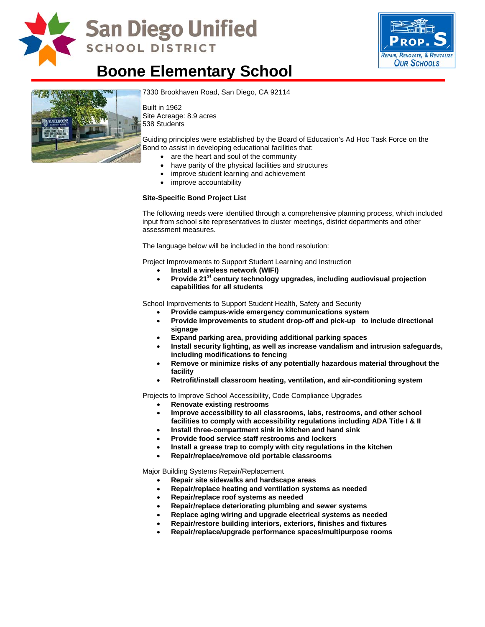

# **San Diego Unified SCHOOL DISTRICT**



# **Boone Elementary School**



[7330 Brookhaven Road, San Diego,](http://www.sandi.net/comm/schools/schlpix/boone.jpg) CA 92114

Built in 1962 Site Acreage: 8.9 acres 538 Students

Guiding principles were established by the Board of Education's Ad Hoc Task Force on the Bond to assist in developing educational facilities that:

- are the heart and soul of the community
- have parity of the physical facilities and structures
- improve student learning and achievement
- improve accountability

#### **Site-Specific Bond Project List**

The following needs were identified through a comprehensive planning process, which included input from school site representatives to cluster meetings, district departments and other assessment measures.

The language below will be included in the bond resolution:

Project Improvements to Support Student Learning and Instruction

- **Install a wireless network (WIFI)**
- Provide 21<sup>st</sup> century technology upgrades, including audiovisual projection **capabilities for all students**

School Improvements to Support Student Health, Safety and Security

- **Provide campus-wide emergency communications system**
- **Provide improvements to student drop-off and pick-up to include directional signage**
- **Expand parking area, providing additional parking spaces**
- **Install security lighting, as well as increase vandalism and intrusion safeguards, including modifications to fencing**
- **Remove or minimize risks of any potentially hazardous material throughout the facility**
- **Retrofit/install classroom heating, ventilation, and air-conditioning system**

Projects to Improve School Accessibility, Code Compliance Upgrades

- **Renovate existing restrooms**
- **Improve accessibility to all classrooms, labs, restrooms, and other school facilities to comply with accessibility regulations including ADA Title I & II**
- **Install three-compartment sink in kitchen and hand sink**
- **Provide food service staff restrooms and lockers**
- **Install a grease trap to comply with city regulations in the kitchen**
- **Repair/replace/remove old portable classrooms**

Major Building Systems Repair/Replacement

- **Repair site sidewalks and hardscape areas**
- **Repair/replace heating and ventilation systems as needed**
- **Repair/replace roof systems as needed**
- **Repair/replace deteriorating plumbing and sewer systems**
- **Replace aging wiring and upgrade electrical systems as needed**
- **Repair/restore building interiors, exteriors, finishes and fixtures**
- **Repair/replace/upgrade performance spaces/multipurpose rooms**